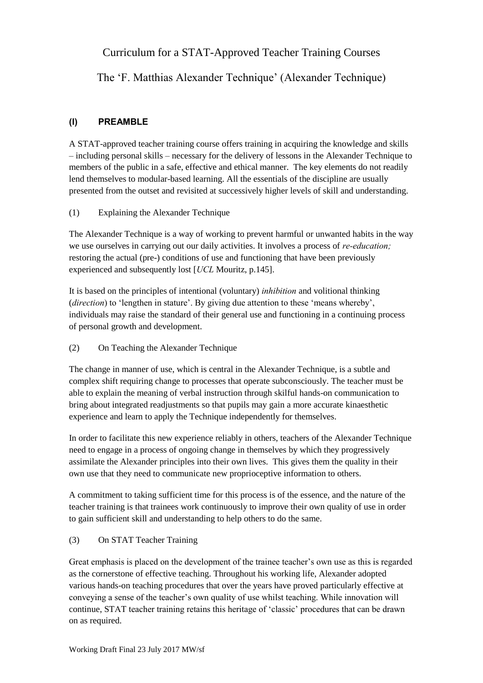Curriculum for a STAT-Approved Teacher Training Courses

The 'F. Matthias Alexander Technique' (Alexander Technique)

# **(I) PREAMBLE**

A STAT-approved teacher training course offers training in acquiring the knowledge and skills – including personal skills – necessary for the delivery of lessons in the Alexander Technique to members of the public in a safe, effective and ethical manner. The key elements do not readily lend themselves to modular-based learning. All the essentials of the discipline are usually presented from the outset and revisited at successively higher levels of skill and understanding.

# (1) Explaining the Alexander Technique

The Alexander Technique is a way of working to prevent harmful or unwanted habits in the way we use ourselves in carrying out our daily activities. It involves a process of *re-education;* restoring the actual (pre-) conditions of use and functioning that have been previously experienced and subsequently lost [*UCL* Mouritz, p.145].

It is based on the principles of intentional (voluntary) *inhibition* and volitional thinking (*direction*) to 'lengthen in stature'. By giving due attention to these 'means whereby', individuals may raise the standard of their general use and functioning in a continuing process of personal growth and development.

(2) On Teaching the Alexander Technique

The change in manner of use, which is central in the Alexander Technique, is a subtle and complex shift requiring change to processes that operate subconsciously. The teacher must be able to explain the meaning of verbal instruction through skilful hands-on communication to bring about integrated readjustments so that pupils may gain a more accurate kinaesthetic experience and learn to apply the Technique independently for themselves.

In order to facilitate this new experience reliably in others, teachers of the Alexander Technique need to engage in a process of ongoing change in themselves by which they progressively assimilate the Alexander principles into their own lives. This gives them the quality in their own use that they need to communicate new proprioceptive information to others.

A commitment to taking sufficient time for this process is of the essence, and the nature of the teacher training is that trainees work continuously to improve their own quality of use in order to gain sufficient skill and understanding to help others to do the same.

# (3) On STAT Teacher Training

Great emphasis is placed on the development of the trainee teacher's own use as this is regarded as the cornerstone of effective teaching. Throughout his working life, Alexander adopted various hands-on teaching procedures that over the years have proved particularly effective at conveying a sense of the teacher's own quality of use whilst teaching. While innovation will continue, STAT teacher training retains this heritage of 'classic' procedures that can be drawn on as required.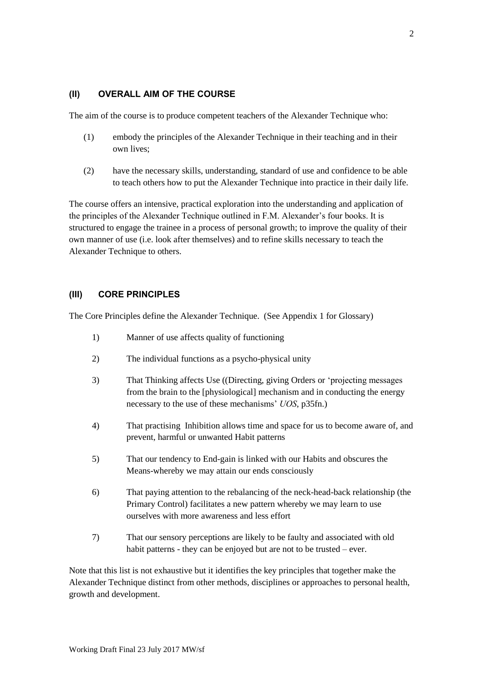# **(II) OVERALL AIM OF THE COURSE**

The aim of the course is to produce competent teachers of the Alexander Technique who:

- (1) embody the principles of the Alexander Technique in their teaching and in their own lives;
- (2) have the necessary skills, understanding, standard of use and confidence to be able to teach others how to put the Alexander Technique into practice in their daily life.

The course offers an intensive, practical exploration into the understanding and application of the principles of the Alexander Technique outlined in F.M. Alexander's four books. It is structured to engage the trainee in a process of personal growth; to improve the quality of their own manner of use (i.e. look after themselves) and to refine skills necessary to teach the Alexander Technique to others.

## **(III) CORE PRINCIPLES**

The Core Principles define the Alexander Technique. (See Appendix 1 for Glossary)

- 1) Manner of use affects quality of functioning
- 2) The individual functions as a psycho-physical unity
- 3) That Thinking affects Use ((Directing, giving Orders or 'projecting messages from the brain to the [physiological] mechanism and in conducting the energy necessary to the use of these mechanisms' *UOS*, p35fn.)
- 4) That practising Inhibition allows time and space for us to become aware of, and prevent, harmful or unwanted Habit patterns
- 5) That our tendency to End-gain is linked with our Habits and obscures the Means-whereby we may attain our ends consciously
- 6) That paying attention to the rebalancing of the neck-head-back relationship (the Primary Control) facilitates a new pattern whereby we may learn to use ourselves with more awareness and less effort
- 7) That our sensory perceptions are likely to be faulty and associated with old habit patterns - they can be enjoyed but are not to be trusted – ever.

Note that this list is not exhaustive but it identifies the key principles that together make the Alexander Technique distinct from other methods, disciplines or approaches to personal health, growth and development.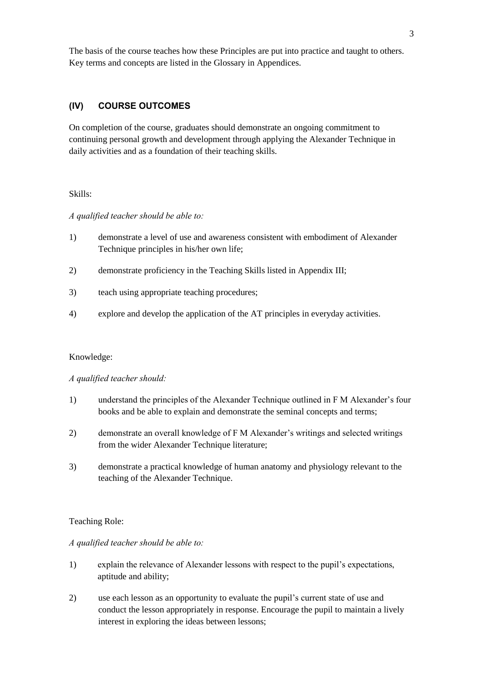The basis of the course teaches how these Principles are put into practice and taught to others. Key terms and concepts are listed in the Glossary in Appendices.

# **(IV) COURSE OUTCOMES**

On completion of the course, graduates should demonstrate an ongoing commitment to continuing personal growth and development through applying the Alexander Technique in daily activities and as a foundation of their teaching skills.

## Skills:

#### *A qualified teacher should be able to:*

- 1) demonstrate a level of use and awareness consistent with embodiment of Alexander Technique principles in his/her own life;
- 2) demonstrate proficiency in the Teaching Skills listed in Appendix III;
- 3) teach using appropriate teaching procedures;
- 4) explore and develop the application of the AT principles in everyday activities.

#### Knowledge:

#### *A qualified teacher should:*

- 1) understand the principles of the Alexander Technique outlined in F M Alexander's four books and be able to explain and demonstrate the seminal concepts and terms;
- 2) demonstrate an overall knowledge of F M Alexander's writings and selected writings from the wider Alexander Technique literature;
- 3) demonstrate a practical knowledge of human anatomy and physiology relevant to the teaching of the Alexander Technique.

#### Teaching Role:

#### *A qualified teacher should be able to:*

- 1) explain the relevance of Alexander lessons with respect to the pupil's expectations, aptitude and ability;
- 2) use each lesson as an opportunity to evaluate the pupil's current state of use and conduct the lesson appropriately in response. Encourage the pupil to maintain a lively interest in exploring the ideas between lessons;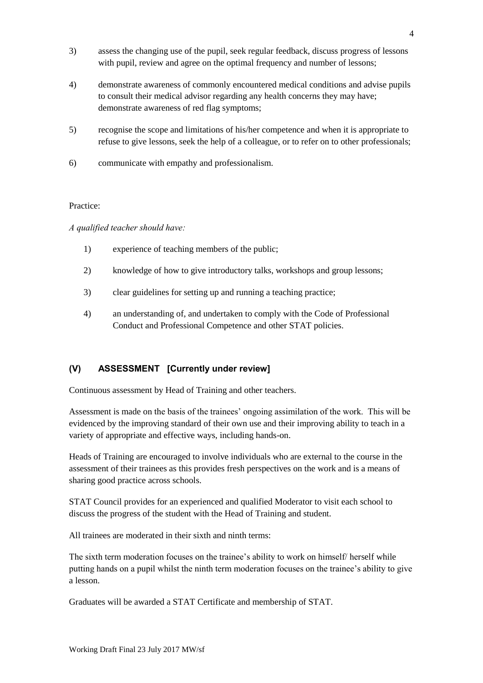- 3) assess the changing use of the pupil, seek regular feedback, discuss progress of lessons with pupil, review and agree on the optimal frequency and number of lessons;
- 4) demonstrate awareness of commonly encountered medical conditions and advise pupils to consult their medical advisor regarding any health concerns they may have; demonstrate awareness of red flag symptoms;
- 5) recognise the scope and limitations of his/her competence and when it is appropriate to refuse to give lessons, seek the help of a colleague, or to refer on to other professionals;
- 6) communicate with empathy and professionalism.

## Practice:

*A qualified teacher should have:*

- 1) experience of teaching members of the public;
- 2) knowledge of how to give introductory talks, workshops and group lessons;
- 3) clear guidelines for setting up and running a teaching practice;
- 4) an understanding of, and undertaken to comply with the Code of Professional Conduct and Professional Competence and other STAT policies.

# **(V) ASSESSMENT [Currently under review]**

Continuous assessment by Head of Training and other teachers.

Assessment is made on the basis of the trainees' ongoing assimilation of the work. This will be evidenced by the improving standard of their own use and their improving ability to teach in a variety of appropriate and effective ways, including hands-on.

Heads of Training are encouraged to involve individuals who are external to the course in the assessment of their trainees as this provides fresh perspectives on the work and is a means of sharing good practice across schools.

STAT Council provides for an experienced and qualified Moderator to visit each school to discuss the progress of the student with the Head of Training and student.

All trainees are moderated in their sixth and ninth terms:

The sixth term moderation focuses on the trainee's ability to work on himself/ herself while putting hands on a pupil whilst the ninth term moderation focuses on the trainee's ability to give a lesson.

Graduates will be awarded a STAT Certificate and membership of STAT.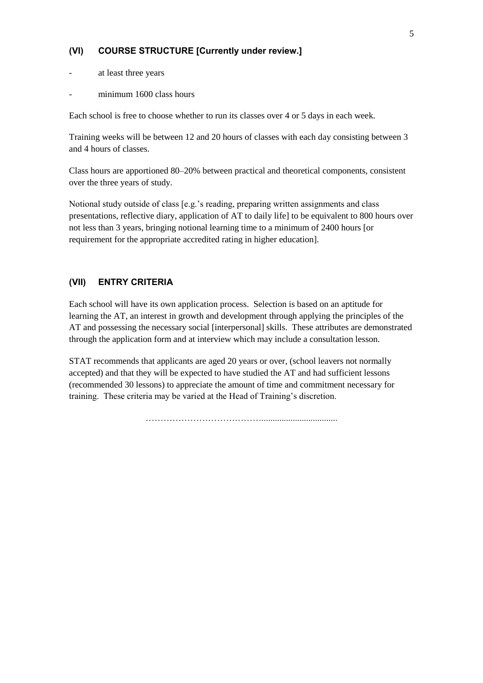## **(VI) COURSE STRUCTURE [Currently under review.]**

- at least three years
- minimum 1600 class hours

Each school is free to choose whether to run its classes over 4 or 5 days in each week.

Training weeks will be between 12 and 20 hours of classes with each day consisting between 3 and 4 hours of classes.

Class hours are apportioned 80–20% between practical and theoretical components, consistent over the three years of study.

Notional study outside of class [e.g.'s reading, preparing written assignments and class presentations, reflective diary, application of AT to daily life] to be equivalent to 800 hours over not less than 3 years, bringing notional learning time to a minimum of 2400 hours [or requirement for the appropriate accredited rating in higher education].

## **(VII) ENTRY CRITERIA**

Each school will have its own application process. Selection is based on an aptitude for learning the AT, an interest in growth and development through applying the principles of the AT and possessing the necessary social [interpersonal] skills. These attributes are demonstrated through the application form and at interview which may include a consultation lesson.

STAT recommends that applicants are aged 20 years or over, (school leavers not normally accepted) and that they will be expected to have studied the AT and had sufficient lessons (recommended 30 lessons) to appreciate the amount of time and commitment necessary for training. These criteria may be varied at the Head of Training's discretion.

…………………………………..................................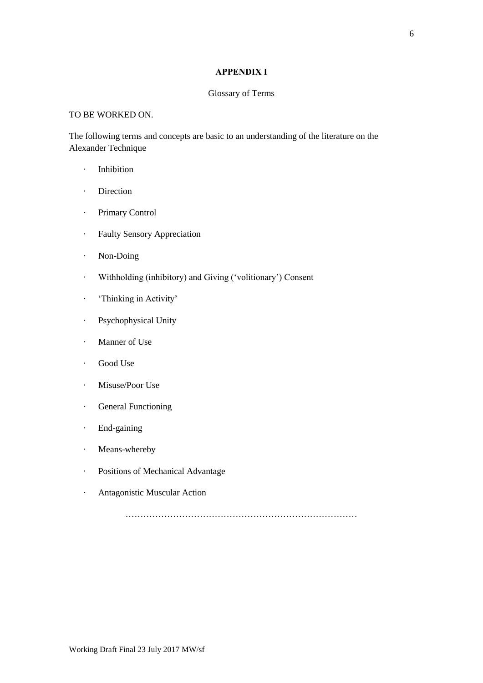## **APPENDIX I**

#### Glossary of Terms

## TO BE WORKED ON.

The following terms and concepts are basic to an understanding of the literature on the Alexander Technique

- · Inhibition
- · Direction
- · Primary Control
- · Faulty Sensory Appreciation
- · Non-Doing
- · Withholding (inhibitory) and Giving ('volitionary') Consent
- · 'Thinking in Activity'
- · Psychophysical Unity
- · Manner of Use
- · Good Use
- · Misuse/Poor Use
- · General Functioning
- · End-gaining
- · Means-whereby
- · Positions of Mechanical Advantage
- · Antagonistic Muscular Action

……………………………………………………………………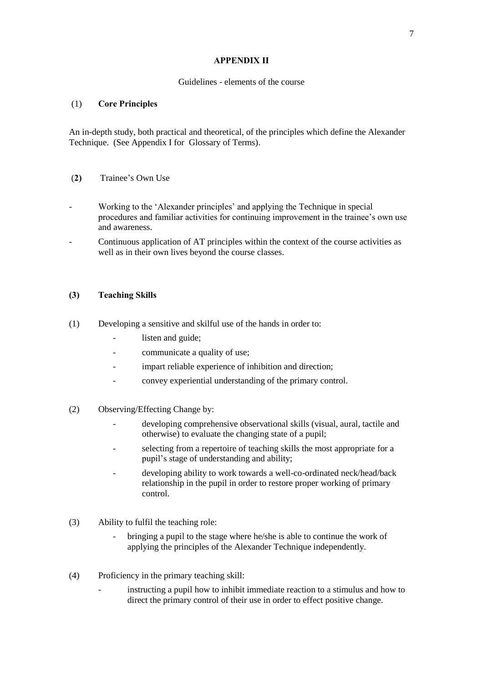### **APPENDIX II**

#### Guidelines - elements of the course

## (1) **Core Principles**

An in-depth study, both practical and theoretical, of the principles which define the Alexander Technique. (See Appendix I for Glossary of Terms).

## (**2)** Trainee's Own Use

- Working to the 'Alexander principles' and applying the Technique in special procedures and familiar activities for continuing improvement in the trainee's own use and awareness.
- Continuous application of AT principles within the context of the course activities as well as in their own lives beyond the course classes.

#### **(3) Teaching Skills**

- (1) Developing a sensitive and skilful use of the hands in order to:
	- listen and guide:
	- communicate a quality of use;
	- impart reliable experience of inhibition and direction;
	- convey experiential understanding of the primary control.
- (2) Observing/Effecting Change by:
	- developing comprehensive observational skills (visual, aural, tactile and otherwise) to evaluate the changing state of a pupil;
	- selecting from a repertoire of teaching skills the most appropriate for a pupil's stage of understanding and ability;
	- developing ability to work towards a well-co-ordinated neck/head/back relationship in the pupil in order to restore proper working of primary control.
- (3) Ability to fulfil the teaching role:
	- bringing a pupil to the stage where he/she is able to continue the work of applying the principles of the Alexander Technique independently.
- (4) Proficiency in the primary teaching skill:
	- instructing a pupil how to inhibit immediate reaction to a stimulus and how to direct the primary control of their use in order to effect positive change.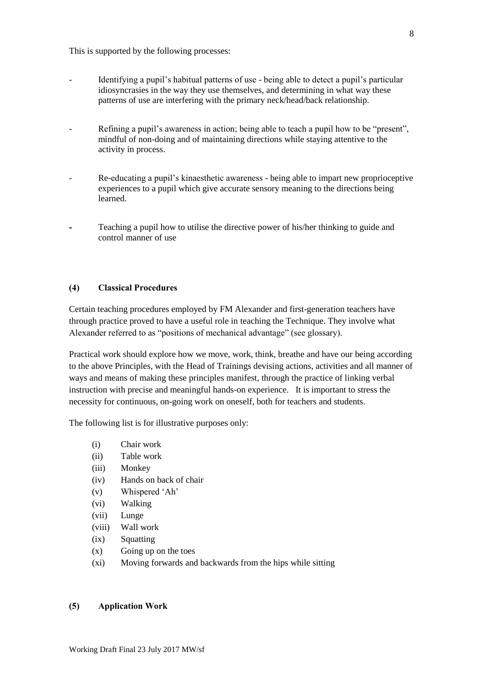This is supported by the following processes:

- Identifying a pupil's habitual patterns of use being able to detect a pupil's particular idiosyncrasies in the way they use themselves, and determining in what way these patterns of use are interfering with the primary neck/head/back relationship.
- Refining a pupil's awareness in action; being able to teach a pupil how to be "present", mindful of non-doing and of maintaining directions while staying attentive to the activity in process.
- Re-educating a pupil's kinaesthetic awareness being able to impart new proprioceptive experiences to a pupil which give accurate sensory meaning to the directions being learned.
- **-** Teaching a pupil how to utilise the directive power of his/her thinking to guide and control manner of use

## **(4) Classical Procedures**

Certain teaching procedures employed by FM Alexander and first-generation teachers have through practice proved to have a useful role in teaching the Technique. They involve what Alexander referred to as "positions of mechanical advantage" (see glossary).

Practical work should explore how we move, work, think, breathe and have our being according to the above Principles, with the Head of Trainings devising actions, activities and all manner of ways and means of making these principles manifest, through the practice of linking verbal instruction with precise and meaningful hands-on experience. It is important to stress the necessity for continuous, on-going work on oneself, both for teachers and students.

The following list is for illustrative purposes only:

- (i) Chair work
- (ii) Table work
- (iii) Monkey
- (iv) Hands on back of chair
- (v) Whispered 'Ah'
- (vi) Walking
- (vii) Lunge
- (viii) Wall work
- (ix) Squatting
- $(x)$  Going up on the toes
- (xi) Moving forwards and backwards from the hips while sitting

#### **(5) Application Work**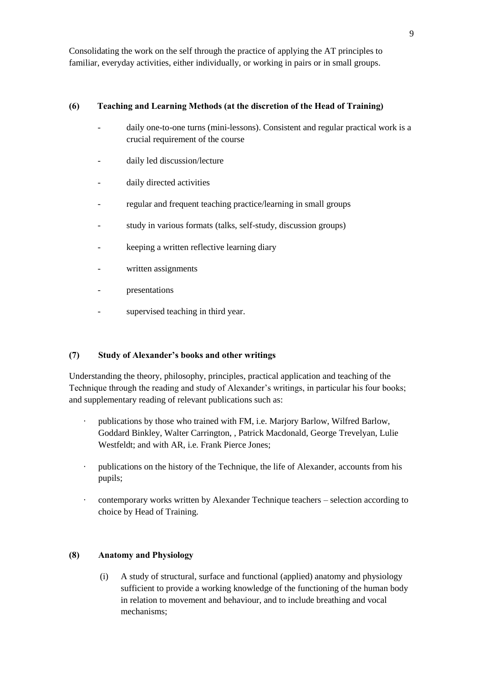Consolidating the work on the self through the practice of applying the AT principles to familiar, everyday activities, either individually, or working in pairs or in small groups.

## **(6) Teaching and Learning Methods (at the discretion of the Head of Training)**

- daily one-to-one turns (mini-lessons). Consistent and regular practical work is a crucial requirement of the course
- daily led discussion/lecture
- daily directed activities
- regular and frequent teaching practice/learning in small groups
- study in various formats (talks, self-study, discussion groups)
- keeping a written reflective learning diary
- written assignments
- presentations
- supervised teaching in third year.

## **(7) Study of Alexander's books and other writings**

Understanding the theory, philosophy, principles, practical application and teaching of the Technique through the reading and study of Alexander's writings, in particular his four books; and supplementary reading of relevant publications such as:

- · publications by those who trained with FM, i.e. Marjory Barlow, Wilfred Barlow, Goddard Binkley, Walter Carrington, , Patrick Macdonald, George Trevelyan, Lulie Westfeldt; and with AR, i.e. Frank Pierce Jones;
- · publications on the history of the Technique, the life of Alexander, accounts from his pupils;
- · contemporary works written by Alexander Technique teachers selection according to choice by Head of Training.

## **(8) Anatomy and Physiology**

(i) A study of structural, surface and functional (applied) anatomy and physiology sufficient to provide a working knowledge of the functioning of the human body in relation to movement and behaviour, and to include breathing and vocal mechanisms;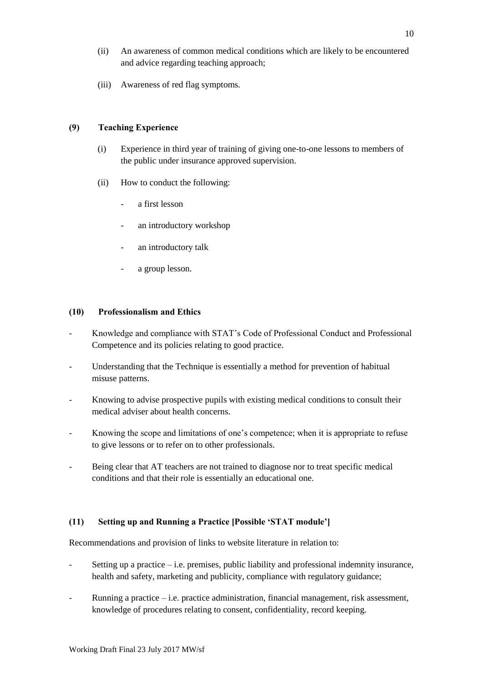- (ii) An awareness of common medical conditions which are likely to be encountered and advice regarding teaching approach;
- (iii) Awareness of red flag symptoms.

## **(9) Teaching Experience**

- (i) Experience in third year of training of giving one-to-one lessons to members of the public under insurance approved supervision.
- (ii) How to conduct the following:
	- a first lesson
	- an introductory workshop
	- an introductory talk
	- a group lesson.

## **(10) Professionalism and Ethics**

- Knowledge and compliance with STAT's Code of Professional Conduct and Professional Competence and its policies relating to good practice.
- Understanding that the Technique is essentially a method for prevention of habitual misuse patterns.
- Knowing to advise prospective pupils with existing medical conditions to consult their medical adviser about health concerns.
- Knowing the scope and limitations of one's competence; when it is appropriate to refuse to give lessons or to refer on to other professionals.
- Being clear that AT teachers are not trained to diagnose nor to treat specific medical conditions and that their role is essentially an educational one.

## **(11) Setting up and Running a Practice [Possible 'STAT module']**

Recommendations and provision of links to website literature in relation to:

- Setting up a practice  $-i.e.$  premises, public liability and professional indemnity insurance, health and safety, marketing and publicity, compliance with regulatory guidance;
- Running a practice i.e. practice administration, financial management, risk assessment, knowledge of procedures relating to consent, confidentiality, record keeping.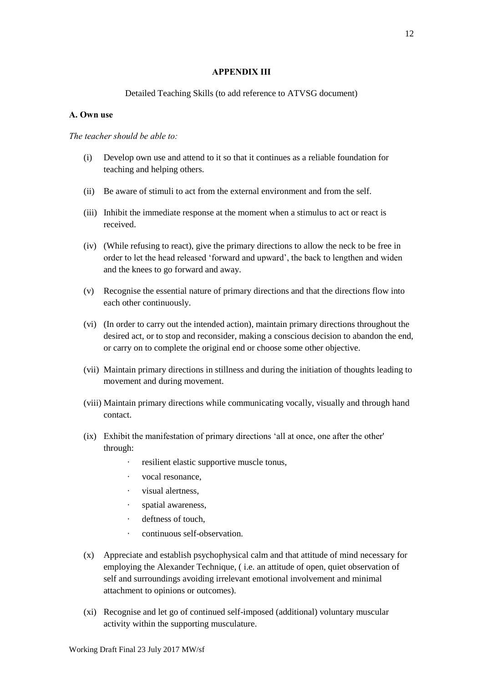#### **APPENDIX III**

#### Detailed Teaching Skills (to add reference to ATVSG document)

#### **A. Own use**

#### *The teacher should be able to:*

- (i) Develop own use and attend to it so that it continues as a reliable foundation for teaching and helping others.
- (ii) Be aware of stimuli to act from the external environment and from the self.
- (iii) Inhibit the immediate response at the moment when a stimulus to act or react is received.
- (iv) (While refusing to react), give the primary directions to allow the neck to be free in order to let the head released 'forward and upward', the back to lengthen and widen and the knees to go forward and away.
- (v) Recognise the essential nature of primary directions and that the directions flow into each other continuously.
- (vi) (In order to carry out the intended action), maintain primary directions throughout the desired act, or to stop and reconsider, making a conscious decision to abandon the end, or carry on to complete the original end or choose some other objective.
- (vii) Maintain primary directions in stillness and during the initiation of thoughts leading to movement and during movement.
- (viii) Maintain primary directions while communicating vocally, visually and through hand contact.
- (ix) Exhibit the manifestation of primary directions 'all at once, one after the other' through:
	- resilient elastic supportive muscle tonus,
	- · vocal resonance,
	- visual alertness,
	- · spatial awareness,
	- deftness of touch,
	- · continuous self-observation.
- (x) Appreciate and establish psychophysical calm and that attitude of mind necessary for employing the Alexander Technique, ( i.e. an attitude of open, quiet observation of self and surroundings avoiding irrelevant emotional involvement and minimal attachment to opinions or outcomes).
- (xi) Recognise and let go of continued self-imposed (additional) voluntary muscular activity within the supporting musculature.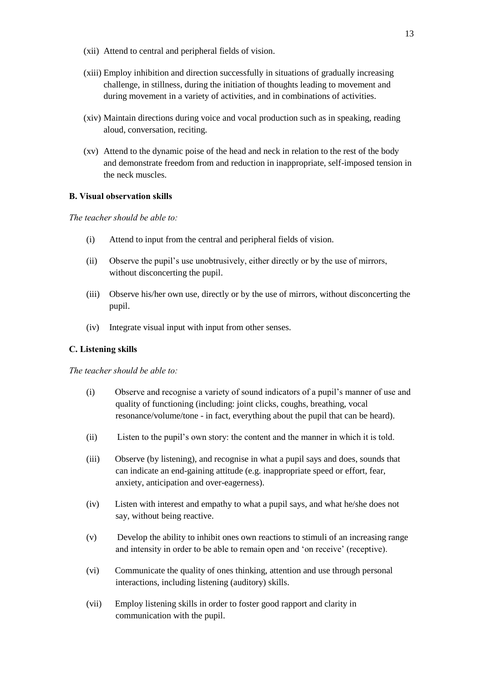- (xii) Attend to central and peripheral fields of vision.
- (xiii) Employ inhibition and direction successfully in situations of gradually increasing challenge, in stillness, during the initiation of thoughts leading to movement and during movement in a variety of activities, and in combinations of activities.
- (xiv) Maintain directions during voice and vocal production such as in speaking, reading aloud, conversation, reciting.
- (xv) Attend to the dynamic poise of the head and neck in relation to the rest of the body and demonstrate freedom from and reduction in inappropriate, self-imposed tension in the neck muscles.

## **B. Visual observation skills**

*The teacher should be able to:*

- (i) Attend to input from the central and peripheral fields of vision.
- (ii) Observe the pupil's use unobtrusively, either directly or by the use of mirrors, without disconcerting the pupil.
- (iii) Observe his/her own use, directly or by the use of mirrors, without disconcerting the pupil.
- (iv) Integrate visual input with input from other senses.

## **C. Listening skills**

*The teacher should be able to:*

- (i) Observe and recognise a variety of sound indicators of a pupil's manner of use and quality of functioning (including: joint clicks, coughs, breathing, vocal resonance/volume/tone - in fact, everything about the pupil that can be heard).
- (ii) Listen to the pupil's own story: the content and the manner in which it is told.
- (iii) Observe (by listening), and recognise in what a pupil says and does, sounds that can indicate an end-gaining attitude (e.g. inappropriate speed or effort, fear, anxiety, anticipation and over-eagerness).
- (iv) Listen with interest and empathy to what a pupil says, and what he/she does not say, without being reactive.
- (v) Develop the ability to inhibit ones own reactions to stimuli of an increasing range and intensity in order to be able to remain open and 'on receive' (receptive).
- (vi) Communicate the quality of ones thinking, attention and use through personal interactions, including listening (auditory) skills.
- (vii) Employ listening skills in order to foster good rapport and clarity in communication with the pupil.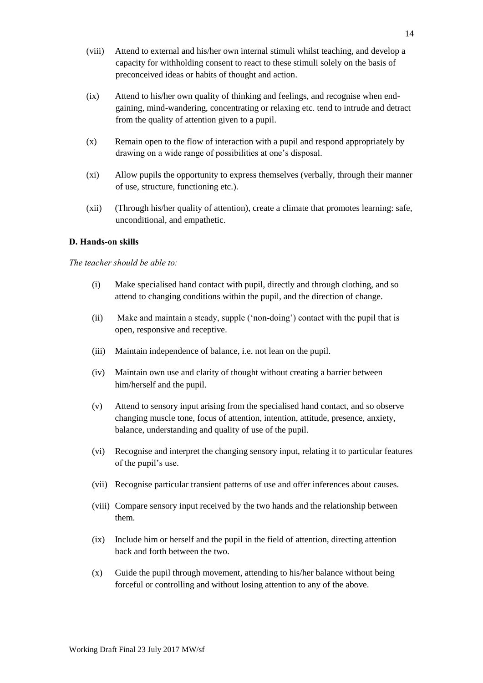- (viii) Attend to external and his/her own internal stimuli whilst teaching, and develop a capacity for withholding consent to react to these stimuli solely on the basis of preconceived ideas or habits of thought and action.
- (ix) Attend to his/her own quality of thinking and feelings, and recognise when endgaining, mind-wandering, concentrating or relaxing etc. tend to intrude and detract from the quality of attention given to a pupil.
- (x) Remain open to the flow of interaction with a pupil and respond appropriately by drawing on a wide range of possibilities at one's disposal.
- (xi) Allow pupils the opportunity to express themselves (verbally, through their manner of use, structure, functioning etc.).
- (xii) (Through his/her quality of attention), create a climate that promotes learning: safe, unconditional, and empathetic.

## **D. Hands-on skills**

#### *The teacher should be able to:*

- (i) Make specialised hand contact with pupil, directly and through clothing, and so attend to changing conditions within the pupil, and the direction of change.
- (ii) Make and maintain a steady, supple ('non-doing') contact with the pupil that is open, responsive and receptive.
- (iii) Maintain independence of balance, i.e. not lean on the pupil.
- (iv) Maintain own use and clarity of thought without creating a barrier between him/herself and the pupil.
- (v) Attend to sensory input arising from the specialised hand contact, and so observe changing muscle tone, focus of attention, intention, attitude, presence, anxiety, balance, understanding and quality of use of the pupil.
- (vi) Recognise and interpret the changing sensory input, relating it to particular features of the pupil's use.
- (vii) Recognise particular transient patterns of use and offer inferences about causes.
- (viii) Compare sensory input received by the two hands and the relationship between them.
- (ix) Include him or herself and the pupil in the field of attention, directing attention back and forth between the two.
- (x) Guide the pupil through movement, attending to his/her balance without being forceful or controlling and without losing attention to any of the above.